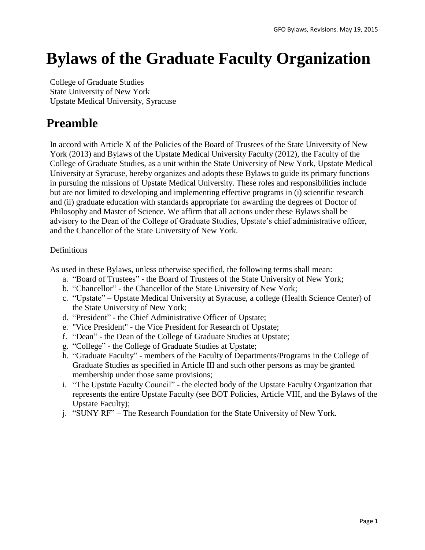# **Bylaws of the Graduate Faculty Organization**

College of Graduate Studies State University of New York Upstate Medical University, Syracuse

# **Preamble**

In accord with Article X of the Policies of the Board of Trustees of the State University of New York (2013) and Bylaws of the Upstate Medical University Faculty (2012), the Faculty of the College of Graduate Studies, as a unit within the State University of New York, Upstate Medical University at Syracuse, hereby organizes and adopts these Bylaws to guide its primary functions in pursuing the missions of Upstate Medical University. These roles and responsibilities include but are not limited to developing and implementing effective programs in (i) scientific research and (ii) graduate education with standards appropriate for awarding the degrees of Doctor of Philosophy and Master of Science. We affirm that all actions under these Bylaws shall be advisory to the Dean of the College of Graduate Studies, Upstate's chief administrative officer, and the Chancellor of the State University of New York.

#### Definitions

As used in these Bylaws, unless otherwise specified, the following terms shall mean:

- a. "Board of Trustees" the Board of Trustees of the State University of New York;
- b. "Chancellor" the Chancellor of the State University of New York;
- c. "Upstate" Upstate Medical University at Syracuse, a college (Health Science Center) of the State University of New York;
- d. "President" the Chief Administrative Officer of Upstate;
- e. "Vice President" the Vice President for Research of Upstate;
- f. "Dean" the Dean of the College of Graduate Studies at Upstate;
- g. "College" the College of Graduate Studies at Upstate;
- h. "Graduate Faculty" members of the Faculty of Departments/Programs in the College of Graduate Studies as specified in Article III and such other persons as may be granted membership under those same provisions;
- i. "The Upstate Faculty Council" the elected body of the Upstate Faculty Organization that represents the entire Upstate Faculty (see BOT Policies, Article VIII, and the Bylaws of the Upstate Faculty);
- j. "SUNY RF" The Research Foundation for the State University of New York.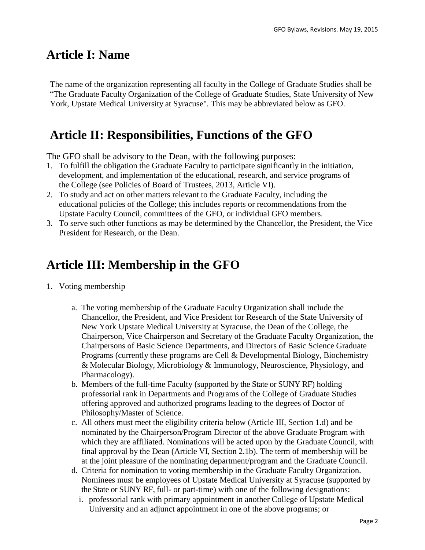### **Article I: Name**

The name of the organization representing all faculty in the College of Graduate Studies shall be "The Graduate Faculty Organization of the College of Graduate Studies, State University of New York, Upstate Medical University at Syracuse". This may be abbreviated below as GFO.

# **Article II: Responsibilities, Functions of the GFO**

The GFO shall be advisory to the Dean, with the following purposes:

- 1. To fulfill the obligation the Graduate Faculty to participate significantly in the initiation, development, and implementation of the educational, research, and service programs of the College (see Policies of Board of Trustees, 2013, Article VI).
- 2. To study and act on other matters relevant to the Graduate Faculty, including the educational policies of the College; this includes reports or recommendations from the Upstate Faculty Council, committees of the GFO, or individual GFO members.
- 3. To serve such other functions as may be determined by the Chancellor, the President, the Vice President for Research, or the Dean.

### **Article III: Membership in the GFO**

- 1. Voting membership
	- a. The voting membership of the Graduate Faculty Organization shall include the Chancellor, the President, and Vice President for Research of the State University of New York Upstate Medical University at Syracuse, the Dean of the College, the Chairperson, Vice Chairperson and Secretary of the Graduate Faculty Organization, the Chairpersons of Basic Science Departments, and Directors of Basic Science Graduate Programs (currently these programs are Cell & Developmental Biology, Biochemistry & Molecular Biology, Microbiology & Immunology, Neuroscience, Physiology, and Pharmacology).
	- b. Members of the full-time Faculty (supported by the State or SUNY RF) holding professorial rank in Departments and Programs of the College of Graduate Studies offering approved and authorized programs leading to the degrees of Doctor of Philosophy/Master of Science.
	- c. All others must meet the eligibility criteria below (Article III, Section 1.d) and be nominated by the Chairperson/Program Director of the above Graduate Program with which they are affiliated. Nominations will be acted upon by the Graduate Council, with final approval by the Dean (Article VI, Section 2.1b). The term of membership will be at the joint pleasure of the nominating department/program and the Graduate Council.
	- d. Criteria for nomination to voting membership in the Graduate Faculty Organization. Nominees must be employees of Upstate Medical University at Syracuse (supported by the State or SUNY RF, full- or part-time) with one of the following designations:
		- i. professorial rank with primary appointment in another College of Upstate Medical University and an adjunct appointment in one of the above programs; or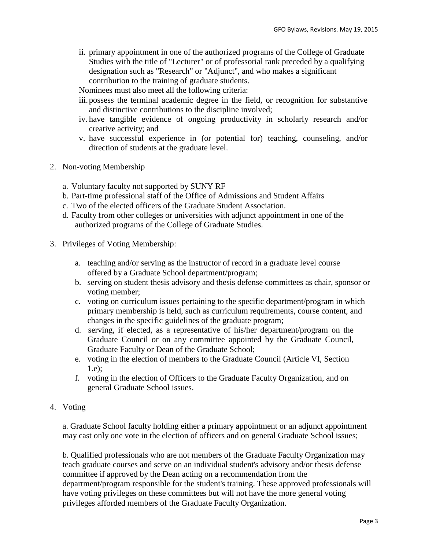ii. primary appointment in one of the authorized programs of the College of Graduate Studies with the title of "Lecturer" or of professorial rank preceded by a qualifying designation such as "Research" or "Adjunct", and who makes a significant contribution to the training of graduate students.

Nominees must also meet all the following criteria:

- iii.possess the terminal academic degree in the field, or recognition for substantive and distinctive contributions to the discipline involved;
- iv. have tangible evidence of ongoing productivity in scholarly research and/or creative activity; and
- v. have successful experience in (or potential for) teaching, counseling, and/or direction of students at the graduate level.
- 2. Non-voting Membership
	- a. Voluntary faculty not supported by SUNY RF
	- b. Part-time professional staff of the Office of Admissions and Student Affairs
	- c. Two of the elected officers of the Graduate Student Association.
	- d. Faculty from other colleges or universities with adjunct appointment in one of the authorized programs of the College of Graduate Studies.
- 3. Privileges of Voting Membership:
	- a. teaching and/or serving as the instructor of record in a graduate level course offered by a Graduate School department/program;
	- b. serving on student thesis advisory and thesis defense committees as chair, sponsor or voting member;
	- c. voting on curriculum issues pertaining to the specific department/program in which primary membership is held, such as curriculum requirements, course content, and changes in the specific guidelines of the graduate program;
	- d. serving, if elected, as a representative of his/her department/program on the Graduate Council or on any committee appointed by the Graduate Council, Graduate Faculty or Dean of the Graduate School;
	- e. voting in the election of members to the Graduate Council (Article VI, Section 1.e);
	- f. voting in the election of Officers to the Graduate Faculty Organization, and on general Graduate School issues.
- 4. Voting

a. Graduate School faculty holding either a primary appointment or an adjunct appointment may cast only one vote in the election of officers and on general Graduate School issues;

b. Qualified professionals who are not members of the Graduate Faculty Organization may teach graduate courses and serve on an individual student's advisory and/or thesis defense committee if approved by the Dean acting on a recommendation from the department/program responsible for the student's training. These approved professionals will have voting privileges on these committees but will not have the more general voting privileges afforded members of the Graduate Faculty Organization.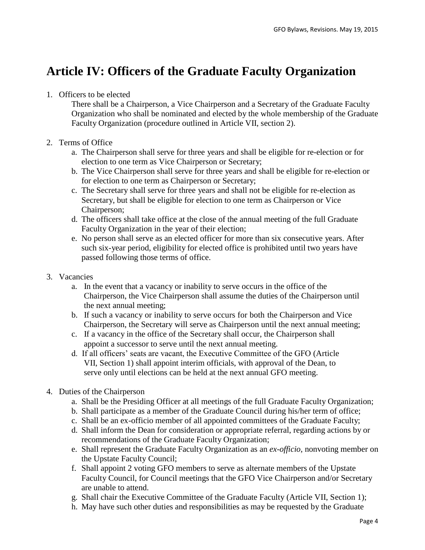# **Article IV: Officers of the Graduate Faculty Organization**

#### 1. Officers to be elected

There shall be a Chairperson, a Vice Chairperson and a Secretary of the Graduate Faculty Organization who shall be nominated and elected by the whole membership of the Graduate Faculty Organization (procedure outlined in Article VII, section 2).

#### 2. Terms of Office

- a. The Chairperson shall serve for three years and shall be eligible for re-election or for election to one term as Vice Chairperson or Secretary;
- b. The Vice Chairperson shall serve for three years and shall be eligible for re-election or for election to one term as Chairperson or Secretary;
- c. The Secretary shall serve for three years and shall not be eligible for re-election as Secretary, but shall be eligible for election to one term as Chairperson or Vice Chairperson;
- d. The officers shall take office at the close of the annual meeting of the full Graduate Faculty Organization in the year of their election;
- e. No person shall serve as an elected officer for more than six consecutive years. After such six-year period, eligibility for elected office is prohibited until two years have passed following those terms of office.
- 3. Vacancies
	- a. In the event that a vacancy or inability to serve occurs in the office of the Chairperson, the Vice Chairperson shall assume the duties of the Chairperson until the next annual meeting;
	- b. If such a vacancy or inability to serve occurs for both the Chairperson and Vice Chairperson, the Secretary will serve as Chairperson until the next annual meeting;
	- c. If a vacancy in the office of the Secretary shall occur, the Chairperson shall appoint a successor to serve until the next annual meeting.
	- d. If all officers' seats are vacant, the Executive Committee of the GFO (Article VII, Section 1) shall appoint interim officials, with approval of the Dean, to serve only until elections can be held at the next annual GFO meeting.
- 4. Duties of the Chairperson
	- a. Shall be the Presiding Officer at all meetings of the full Graduate Faculty Organization;
	- b. Shall participate as a member of the Graduate Council during his/her term of office;
	- c. Shall be an ex-officio member of all appointed committees of the Graduate Faculty;
	- d. Shall inform the Dean for consideration or appropriate referral, regarding actions by or recommendations of the Graduate Faculty Organization;
	- e. Shall represent the Graduate Faculty Organization as an *ex-officio*, nonvoting member on the Upstate Faculty Council;
	- f. Shall appoint 2 voting GFO members to serve as alternate members of the Upstate Faculty Council, for Council meetings that the GFO Vice Chairperson and/or Secretary are unable to attend.
	- g. Shall chair the Executive Committee of the Graduate Faculty (Article VII, Section 1);
	- h. May have such other duties and responsibilities as may be requested by the Graduate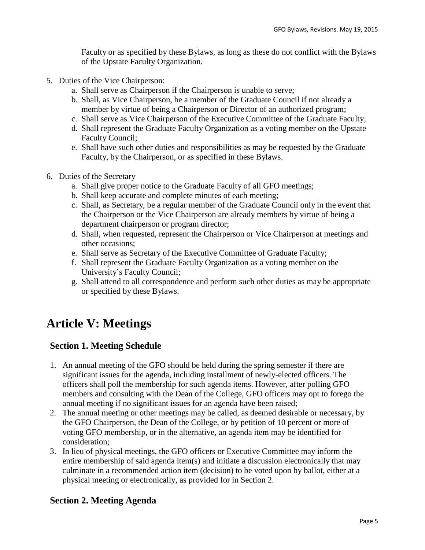Faculty or as specified by these Bylaws, as long as these do not conflict with the Bylaws of the Upstate Faculty Organization.

- 5. Duties of the Vice Chairperson:
	- a. Shall serve as Chairperson if the Chairperson is unable to serve;
	- b. Shall, as Vice Chairperson, be a member of the Graduate Council if not already a member by virtue of being a Chairperson or Director of an authorized program;
	- c. Shall serve as Vice Chairperson of the Executive Committee of the Graduate Faculty;
	- d. Shall represent the Graduate Faculty Organization as a voting member on the Upstate Faculty Council;
	- e. Shall have such other duties and responsibilities as may be requested by the Graduate Faculty, by the Chairperson, or as specified in these Bylaws.
- 6. Duties of the Secretary
	- a. Shall give proper notice to the Graduate Faculty of all GFO meetings;
	- b. Shall keep accurate and complete minutes of each meeting;
	- c. Shall, as Secretary, be a regular member of the Graduate Council only in the event that the Chairperson or the Vice Chairperson are already members by virtue of being a department chairperson or program director;
	- d. Shall, when requested, represent the Chairperson or Vice Chairperson at meetings and other occasions;
	- e. Shall serve as Secretary of the Executive Committee of Graduate Faculty;
	- f. Shall represent the Graduate Faculty Organization as a voting member on the University's Faculty Council;
	- g. Shall attend to all correspondence and perform such other duties as may be appropriate or specified by these Bylaws.

# **Article V: Meetings**

#### **Section 1. Meeting Schedule**

- 1. An annual meeting of the GFO should be held during the spring semester if there are significant issues for the agenda, including installment of newly-elected officers. The officers shall poll the membership for such agenda items. However, after polling GFO members and consulting with the Dean of the College, GFO officers may opt to forego the annual meeting if no significant issues for an agenda have been raised;
- 2. The annual meeting or other meetings may be called, as deemed desirable or necessary, by the GFO Chairperson, the Dean of the College, or by petition of 10 percent or more of voting GFO membership, or in the alternative, an agenda item may be identified for consideration;
- 3. In lieu of physical meetings, the GFO officers or Executive Committee may inform the entire membership of said agenda item(s) and initiate a discussion electronically that may culminate in a recommended action item (decision) to be voted upon by ballot, either at a physical meeting or electronically, as provided for in Section 2.

#### **Section 2. Meeting Agenda**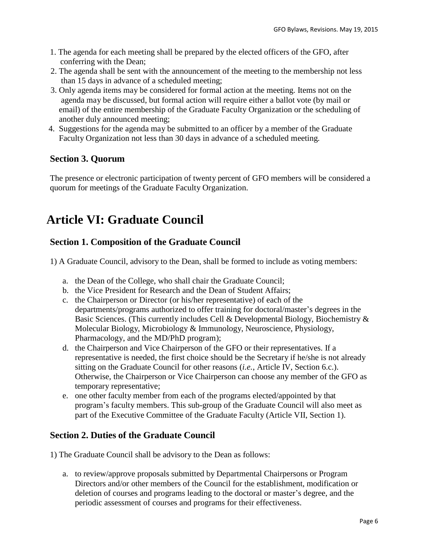- 1. The agenda for each meeting shall be prepared by the elected officers of the GFO, after conferring with the Dean;
- 2. The agenda shall be sent with the announcement of the meeting to the membership not less than 15 days in advance of a scheduled meeting;
- 3. Only agenda items may be considered for formal action at the meeting. Items not on the agenda may be discussed, but formal action will require either a ballot vote (by mail or email) of the entire membership of the Graduate Faculty Organization or the scheduling of another duly announced meeting;
- 4. Suggestions for the agenda may be submitted to an officer by a member of the Graduate Faculty Organization not less than 30 days in advance of a scheduled meeting.

#### **Section 3. Quorum**

The presence or electronic participation of twenty percent of GFO members will be considered a quorum for meetings of the Graduate Faculty Organization.

# **Article VI: Graduate Council**

#### **Section 1. Composition of the Graduate Council**

- 1) A Graduate Council, advisory to the Dean, shall be formed to include as voting members:
	- a. the Dean of the College, who shall chair the Graduate Council;
	- b. the Vice President for Research and the Dean of Student Affairs;
	- c. the Chairperson or Director (or his/her representative) of each of the departments/programs authorized to offer training for doctoral/master's degrees in the Basic Sciences. (This currently includes Cell & Developmental Biology, Biochemistry & Molecular Biology, Microbiology & Immunology, Neuroscience, Physiology, Pharmacology, and the MD/PhD program);
	- d. the Chairperson and Vice Chairperson of the GFO or their representatives. If a representative is needed, the first choice should be the Secretary if he/she is not already sitting on the Graduate Council for other reasons (*i.e.*, Article IV, Section 6.c.). Otherwise, the Chairperson or Vice Chairperson can choose any member of the GFO as temporary representative;
	- e. one other faculty member from each of the programs elected/appointed by that program's faculty members. This sub-group of the Graduate Council will also meet as part of the Executive Committee of the Graduate Faculty (Article VII, Section 1).

#### **Section 2. Duties of the Graduate Council**

1) The Graduate Council shall be advisory to the Dean as follows:

a. to review/approve proposals submitted by Departmental Chairpersons or Program Directors and/or other members of the Council for the establishment, modification or deletion of courses and programs leading to the doctoral or master's degree, and the periodic assessment of courses and programs for their effectiveness.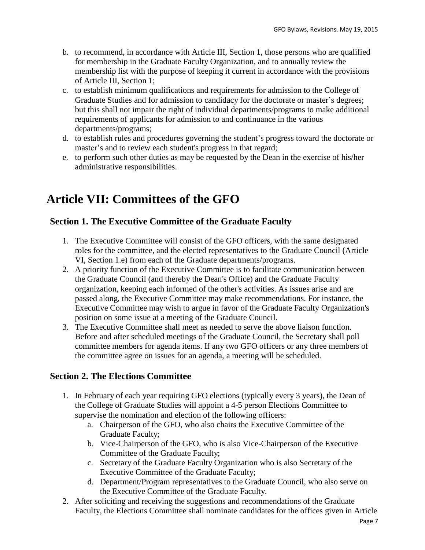- b. to recommend, in accordance with Article III, Section 1, those persons who are qualified for membership in the Graduate Faculty Organization, and to annually review the membership list with the purpose of keeping it current in accordance with the provisions of Article III, Section 1;
- c. to establish minimum qualifications and requirements for admission to the College of Graduate Studies and for admission to candidacy for the doctorate or master's degrees; but this shall not impair the right of individual departments/programs to make additional requirements of applicants for admission to and continuance in the various departments/programs;
- d. to establish rules and procedures governing the student's progress toward the doctorate or master's and to review each student's progress in that regard;
- e. to perform such other duties as may be requested by the Dean in the exercise of his/her administrative responsibilities.

# **Article VII: Committees of the GFO**

#### **Section 1. The Executive Committee of the Graduate Faculty**

- 1. The Executive Committee will consist of the GFO officers, with the same designated roles for the committee, and the elected representatives to the Graduate Council (Article VI, Section 1.e) from each of the Graduate departments/programs.
- 2. A priority function of the Executive Committee is to facilitate communication between the Graduate Council (and thereby the Dean's Office) and the Graduate Faculty organization, keeping each informed of the other's activities. As issues arise and are passed along, the Executive Committee may make recommendations. For instance, the Executive Committee may wish to argue in favor of the Graduate Faculty Organization's position on some issue at a meeting of the Graduate Council.
- 3. The Executive Committee shall meet as needed to serve the above liaison function. Before and after scheduled meetings of the Graduate Council, the Secretary shall poll committee members for agenda items. If any two GFO officers or any three members of the committee agree on issues for an agenda, a meeting will be scheduled.

#### **Section 2. The Elections Committee**

- 1. In February of each year requiring GFO elections (typically every 3 years), the Dean of the College of Graduate Studies will appoint a 4-5 person Elections Committee to supervise the nomination and election of the following officers:
	- a. Chairperson of the GFO, who also chairs the Executive Committee of the Graduate Faculty;
	- b. Vice-Chairperson of the GFO, who is also Vice-Chairperson of the Executive Committee of the Graduate Faculty;
	- c. Secretary of the Graduate Faculty Organization who is also Secretary of the Executive Committee of the Graduate Faculty;
	- d. Department/Program representatives to the Graduate Council, who also serve on the Executive Committee of the Graduate Faculty.
- 2. After soliciting and receiving the suggestions and recommendations of the Graduate Faculty, the Elections Committee shall nominate candidates for the offices given in Article